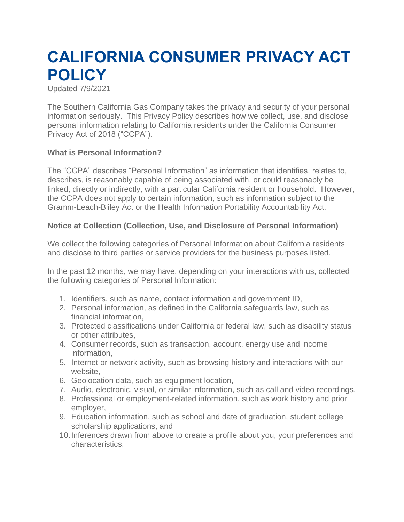# **CALIFORNIA CONSUMER PRIVACY ACT POLICY**

Updated 7/9/2021

The Southern California Gas Company takes the privacy and security of your personal information seriously. This Privacy Policy describes how we collect, use, and disclose personal information relating to California residents under the California Consumer Privacy Act of 2018 ("CCPA").

### **What is Personal Information?**

The "CCPA" describes "Personal Information" as information that identifies, relates to, describes, is reasonably capable of being associated with, or could reasonably be linked, directly or indirectly, with a particular California resident or household. However, the CCPA does not apply to certain information, such as information subject to the Gramm-Leach-Bliley Act or the Health Information Portability Accountability Act.

### **Notice at Collection (Collection, Use, and Disclosure of Personal Information)**

We collect the following categories of Personal Information about California residents and disclose to third parties or service providers for the business purposes listed.

In the past 12 months, we may have, depending on your interactions with us, collected the following categories of Personal Information:

- 1. Identifiers, such as name, contact information and government ID,
- 2. Personal information, as defined in the California safeguards law, such as financial information,
- 3. Protected classifications under California or federal law, such as disability status or other attributes,
- 4. Consumer records, such as transaction, account, energy use and income information,
- 5. Internet or network activity, such as browsing history and interactions with our website,
- 6. Geolocation data, such as equipment location,
- 7. Audio, electronic, visual, or similar information, such as call and video recordings,
- 8. Professional or employment-related information, such as work history and prior employer,
- 9. Education information, such as school and date of graduation, student college scholarship applications, and
- 10.Inferences drawn from above to create a profile about you, your preferences and characteristics.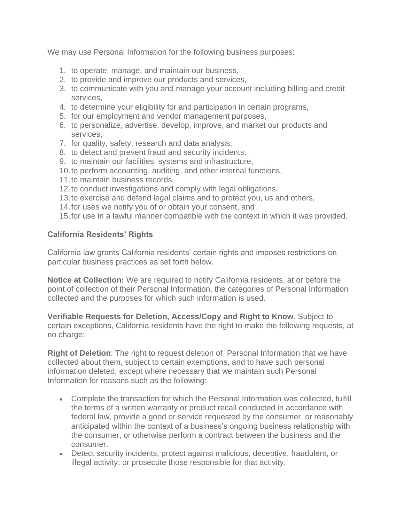We may use Personal Information for the following business purposes:

- 1. to operate, manage, and maintain our business,
- 2. to provide and improve our products and services,
- 3. to communicate with you and manage your account including billing and credit services,
- 4. to determine your eligibility for and participation in certain programs,
- 5. for our employment and vendor management purposes,
- 6. to personalize, advertise, develop, improve, and market our products and services,
- 7. for quality, safety, research and data analysis,
- 8. to detect and prevent fraud and security incidents,
- 9. to maintain our facilities, systems and infrastructure,
- 10.to perform accounting, auditing, and other internal functions,
- 11.to maintain business records,
- 12.to conduct investigations and comply with legal obligations,
- 13.to exercise and defend legal claims and to protect you, us and others,
- 14.for uses we notify you of or obtain your consent, and
- 15.for use in a lawful manner compatible with the context in which it was provided.

## **California Residents' Rights**

California law grants California residents' certain rights and imposes restrictions on particular business practices as set forth below.

**Notice at Collection:** We are required to notify California residents, at or before the point of collection of their Personal Information, the categories of Personal Information collected and the purposes for which such information is used.

**Verifiable Requests for Deletion, Access/Copy and Right to Know**. Subject to certain exceptions, California residents have the right to make the following requests, at no charge:

**Right of Deletion**: The right to request deletion of Personal Information that we have collected about them, subject to certain exemptions, and to have such personal information deleted, except where necessary that we maintain such Personal Information for reasons such as the following:

- Complete the transaction for which the Personal Information was collected, fulfill the terms of a written warranty or product recall conducted in accordance with federal law, provide a good or service requested by the consumer, or reasonably anticipated within the context of a business's ongoing business relationship with the consumer, or otherwise perform a contract between the business and the consumer.
- Detect security incidents, protect against malicious, deceptive, fraudulent, or illegal activity; or prosecute those responsible for that activity.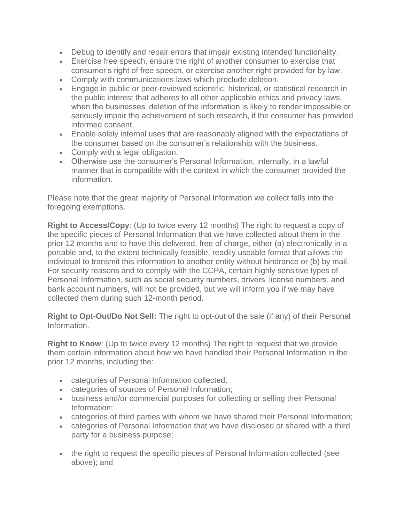- Debug to identify and repair errors that impair existing intended functionality.
- Exercise free speech, ensure the right of another consumer to exercise that consumer's right of free speech, or exercise another right provided for by law.
- Comply with communications laws which preclude deletion.
- Engage in public or peer-reviewed scientific, historical, or statistical research in the public interest that adheres to all other applicable ethics and privacy laws, when the businesses' deletion of the information is likely to render impossible or seriously impair the achievement of such research, if the consumer has provided informed consent.
- Enable solely internal uses that are reasonably aligned with the expectations of the consumer based on the consumer's relationship with the business.
- Comply with a legal obligation.
- Otherwise use the consumer's Personal Information, internally, in a lawful manner that is compatible with the context in which the consumer provided the information.

Please note that the great majority of Personal Information we collect falls into the foregoing exemptions.

**Right to Access/Copy**: (Up to twice every 12 months) The right to request a copy of the specific pieces of Personal Information that we have collected about them in the prior 12 months and to have this delivered, free of charge, either (a) electronically in a portable and, to the extent technically feasible, readily useable format that allows the individual to transmit this information to another entity without hindrance or (b) by mail. For security reasons and to comply with the CCPA, certain highly sensitive types of Personal Information, such as social security numbers, drivers' license numbers, and bank account numbers, will not be provided, but we will inform you if we may have collected them during such 12-month period.

**Right to Opt-Out/Do Not Sell:** The right to opt-out of the sale (if any) of their Personal Information.

**Right to Know**: (Up to twice every 12 months) The right to request that we provide them certain information about how we have handled their Personal Information in the prior 12 months, including the:

- categories of Personal Information collected;
- categories of sources of Personal Information;
- business and/or commercial purposes for collecting or selling their Personal Information;
- categories of third parties with whom we have shared their Personal Information;
- categories of Personal Information that we have disclosed or shared with a third party for a business purpose;
- the right to request the specific pieces of Personal Information collected (see above); and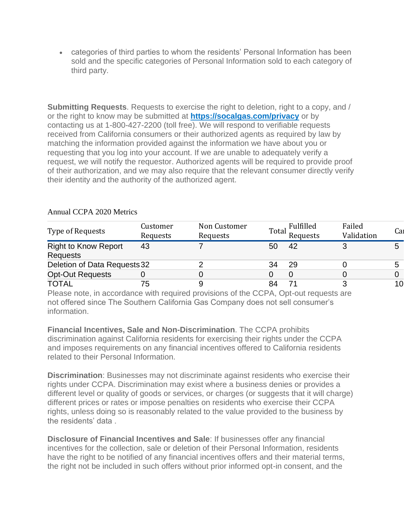• categories of third parties to whom the residents' Personal Information has been sold and the specific categories of Personal Information sold to each category of third party.

**Submitting Requests**. Requests to exercise the right to deletion, right to a copy, and / or the right to know may be submitted at **[https://socalgas.com/privacy](https://www.socalgas.com/privacy)** or by contacting us at 1-800-427-2200 (toll free). We will respond to verifiable requests received from California consumers or their authorized agents as required by law by matching the information provided against the information we have about you or requesting that you log into your account. If we are unable to adequately verify a request, we will notify the requestor. Authorized agents will be required to provide proof of their authorization, and we may also require that the relevant consumer directly verify their identity and the authority of the authorized agent.

| Type of Requests                                                                                                                                                                                                                     | Customer<br>Requests                                                            | Non Customer<br>Requests |    | Fulfilled<br>Total Funcests | Failed<br>Validation | Cal |
|--------------------------------------------------------------------------------------------------------------------------------------------------------------------------------------------------------------------------------------|---------------------------------------------------------------------------------|--------------------------|----|-----------------------------|----------------------|-----|
| <b>Right to Know Report</b><br>Requests                                                                                                                                                                                              | 43                                                                              |                          | 50 | 42                          |                      |     |
| Deletion of Data Requests 32                                                                                                                                                                                                         |                                                                                 |                          | 34 | 29                          |                      | 5   |
| <b>Opt-Out Requests</b>                                                                                                                                                                                                              |                                                                                 |                          |    |                             |                      | 0   |
| TOTAL                                                                                                                                                                                                                                | 75                                                                              |                          | 84 |                             |                      | 10  |
| <u>in the second contract of the second contract of the second contract of the second contract of the second contract of the second contract of the second contract of the second contract of the second contract of the second </u> | the contract of the contract of the contract of the contract of the contract of | $\sim$ $\sim$ $\sim$     |    | $\bigcap_{i=1}^n A_i$       |                      |     |

### Annual CCPA 2020 Metrics

Please note, in accordance with required provisions of the CCPA, Opt-out requests are not offered since The Southern California Gas Company does not sell consumer's information.

**Financial Incentives, Sale and Non-Discrimination**. The CCPA prohibits discrimination against California residents for exercising their rights under the CCPA and imposes requirements on any financial incentives offered to California residents related to their Personal Information.

**Discrimination**: Businesses may not discriminate against residents who exercise their rights under CCPA. Discrimination may exist where a business denies or provides a different level or quality of goods or services, or charges (or suggests that it will charge) different prices or rates or impose penalties on residents who exercise their CCPA rights, unless doing so is reasonably related to the value provided to the business by the residents' data .

**Disclosure of Financial Incentives and Sale**: If businesses offer any financial incentives for the collection, sale or deletion of their Personal Information, residents have the right to be notified of any financial incentives offers and their material terms, the right not be included in such offers without prior informed opt-in consent, and the